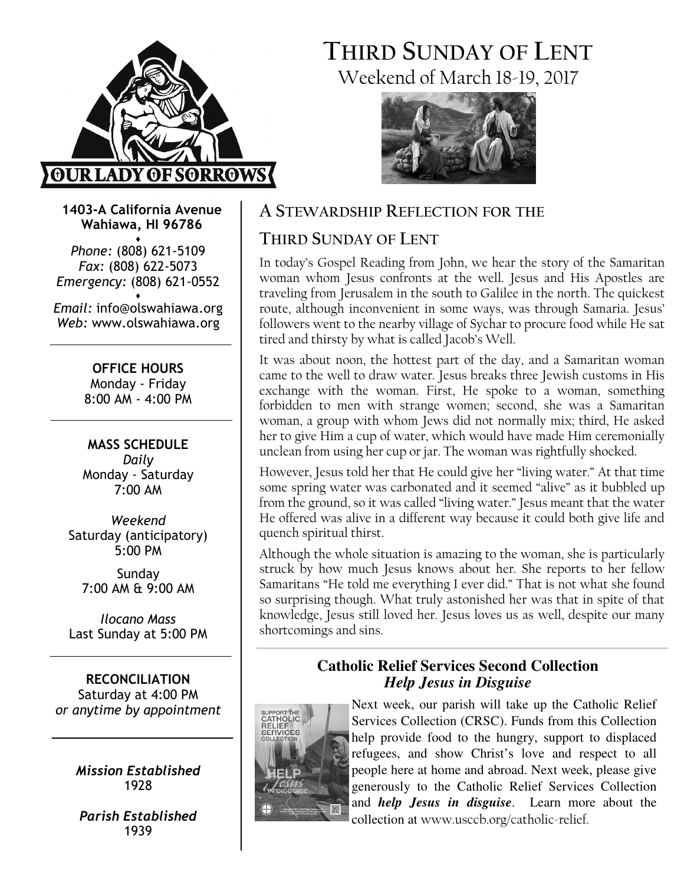

# THIRD SUNDAY OF LENT Weekend of March 18-19, 2017



1403-A California Avenue Wahiawa, HI 96786

♦ Phone: (808) 621-5109 Fax: (808) 622-5073 Emergency: (808) 621-0552 ♦

Email: info@olswahiawa.org Web: www.olswahiawa.org

> OFFICE HOURS Monday - Friday 8:00 AM - 4:00 PM

MASS SCHEDULE Daily Monday - Saturday  $7.00 \Delta M$ 

Weekend Saturday (anticipatory) 5:00 PM

Sunday 7:00 AM & 9:00 AM

Ilocano Mass Last Sunday at 5:00 PM

RECONCILIATION Saturday at 4:00 PM or anytime by appointment

> Mission Established 1928

Parish Established 1939

# A STEWARDSHIP REFLECTION FOR THE

# THIRD SUNDAY OF LENT

In today's Gospel Reading from John, we hear the story of the Samaritan woman whom Jesus confronts at the well. Jesus and His Apostles are traveling from Jerusalem in the south to Galilee in the north. The quickest route, although inconvenient in some ways, was through Samaria. Jesus' followers went to the nearby village of Sychar to procure food while He sat tired and thirsty by what is called Jacob's Well.

It was about noon, the hottest part of the day, and a Samaritan woman came to the well to draw water. Jesus breaks three Jewish customs in His exchange with the woman. First, He spoke to a woman, something forbidden to men with strange women; second, she was a Samaritan woman, a group with whom Jews did not normally mix; third, He asked her to give Him a cup of water, which would have made Him ceremonially unclean from using her cup or jar. The woman was rightfully shocked.

However, Jesus told her that He could give her "living water." At that time some spring water was carbonated and it seemed "alive" as it bubbled up from the ground, so it was called "living water." Jesus meant that the water He offered was alive in a different way because it could both give life and quench spiritual thirst.

Although the whole situation is amazing to the woman, she is particularly struck by how much Jesus knows about her. She reports to her fellow Samaritans "He told me everything I ever did." That is not what she found so surprising though. What truly astonished her was that in spite of that knowledge, Jesus still loved her. Jesus loves us as well, despite our many shortcomings and sins.

### **Catholic Relief Services Second Collection**  *Help Jesus in Disguise*



Next week, our parish will take up the Catholic Relief Services Collection (CRSC). Funds from this Collection help provide food to the hungry, support to displaced refugees, and show Christ's love and respect to all people here at home and abroad. Next week, please give generously to the Catholic Relief Services Collection and *help Jesus in disguise*. Learn more about the collection at www.usccb.org/catholic-relief.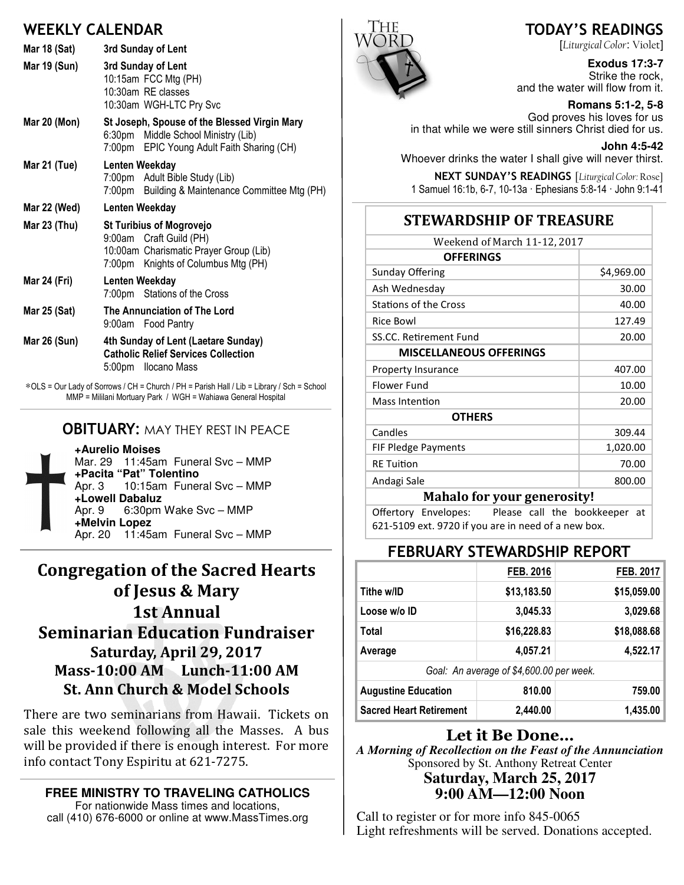### WEEKLY CALENDAR

| Mar 18 (Sat)        | 3rd Sunday of Lent                                                                                                                          |  |  |
|---------------------|---------------------------------------------------------------------------------------------------------------------------------------------|--|--|
| Mar 19 (Sun)        | 3rd Sunday of Lent<br>10:15am FCC Mtg (PH)<br>10:30am RE classes<br>10:30am WGH-LTC Pry Svc                                                 |  |  |
| <b>Mar 20 (Mon)</b> | St Joseph, Spouse of the Blessed Virgin Mary<br>6:30pm Middle School Ministry (Lib)<br>7:00pm EPIC Young Adult Faith Sharing (CH)           |  |  |
| Mar 21 (Tue)        | Lenten Weekday<br>7:00pm Adult Bible Study (Lib)<br>7:00pm Building & Maintenance Committee Mtg (PH)                                        |  |  |
| Mar 22 (Wed)        | Lenten Weekday                                                                                                                              |  |  |
| Mar 23 (Thu)        | <b>St Turibius of Mogrovejo</b><br>9:00am Craft Guild (PH)<br>10:00am Charismatic Prayer Group (Lib)<br>7:00pm Knights of Columbus Mtg (PH) |  |  |
| Mar 24 (Fri)        | Lenten Weekday<br>7:00pm Stations of the Cross                                                                                              |  |  |
| <b>Mar 25 (Sat)</b> | The Annunciation of The Lord<br>9:00am Food Pantry                                                                                          |  |  |
| Mar 26 (Sun)        | 4th Sunday of Lent (Laetare Sunday)<br><b>Catholic Relief Services Collection</b><br>5:00pm Ilocano Mass                                    |  |  |

∗OLS = Our Lady of Sorrows / CH = Church / PH = Parish Hall / Lib = Library / Sch = School MMP = Mililani Mortuary Park / WGH = Wahiawa General Hospital

#### **OBITUARY: MAY THEY REST IN PEACE**



**+Aurelio Moises** Mar. 29 11:45am Funeral Svc – MMP **+Pacita "Pat" Tolentino** Apr. 3 10:15am Funeral Svc – MMP **+Lowell Dabaluz** Apr. 9 6:30pm Wake Svc – MMP **+Melvin Lopez** Apr. 20 11:45am Funeral Svc – MMP

## Congregation of the Sacred Hearts of Jesus & Mary 1st Annual **Seminarian Education Fundraiser** Saturday, April 29, 2017 Mass-10:00 AM Lunch-11:00 AM St. Ann Church & Model Schools

There are two seminarians from Hawaii. Tickets on sale this weekend following all the Masses. A bus will be provided if there is enough interest. For more info contact Tony Espiritu at 621-7275.

**FREE MINISTRY TO TRAVELING CATHOLICS**  For nationwide Mass times and locations,

call (410) 676-6000 or online at www.MassTimes.org



#### TODAY'S READINGS

[Liturgical Color: Violet]

**Exodus 17:3-7**  Strike the rock, and the water will flow from it.

**Romans 5:1-2, 5-8**  God proves his loves for us in that while we were still sinners Christ died for us.

**John 4:5-42**  Whoever drinks the water I shall give will never thirst.

NEXT SUNDAY'S READINGS [Liturgical Color: Rose] 1 Samuel 16:1b, 6-7, 10-13a · Ephesians 5:8-14 · John 9:1-41

#### STEWARDSHIP OF TREASURE

| Weekend of March 11-12, 2017       |  |  |  |
|------------------------------------|--|--|--|
|                                    |  |  |  |
| \$4,969.00                         |  |  |  |
| 30.00                              |  |  |  |
| 40.00                              |  |  |  |
| 127.49                             |  |  |  |
| 20.00                              |  |  |  |
|                                    |  |  |  |
| 407.00                             |  |  |  |
| 10.00                              |  |  |  |
| 20.00                              |  |  |  |
|                                    |  |  |  |
| 309.44                             |  |  |  |
| 1,020.00                           |  |  |  |
| 70.00                              |  |  |  |
| 800.00                             |  |  |  |
| <b>Mahalo for your generosity!</b> |  |  |  |
|                                    |  |  |  |

Offertory Envelopes: Please call the bookkeeper at 621-5109 ext. 9720 if you are in need of a new box.

#### FEBRUARY STEWARDSHIP REPORT

|                                          | FEB. 2016   | <b>FEB. 2017</b> |  |  |
|------------------------------------------|-------------|------------------|--|--|
| Tithe w/ID                               | \$13,183.50 | \$15,059.00      |  |  |
| Loose w/o ID                             | 3,045.33    | 3,029.68         |  |  |
| Total                                    | \$16,228.83 | \$18,088.68      |  |  |
| Average                                  | 4,057.21    | 4,522.17         |  |  |
| Goal: An average of \$4,600.00 per week. |             |                  |  |  |
| <b>Augustine Education</b>               | 810.00      | 759.00           |  |  |
| <b>Sacred Heart Retirement</b>           | 2.440.00    | 1,435.00         |  |  |

#### Let it Be Done…

*A Morning of Recollection on the Feast of the Annunciation*  Sponsored by St. Anthony Retreat Center **Saturday, March 25, 2017 9:00 AM—12:00 Noon** 

Call to register or for more info 845-0065 Light refreshments will be served. Donations accepted.